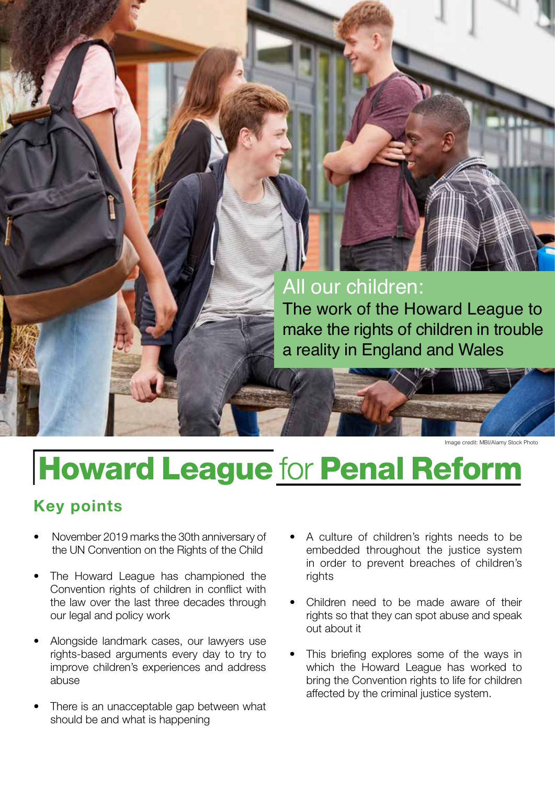## All our children:

The work of the Howard League to make the rights of children in trouble a reality in England and Wales

Image credit: MBI/Alamy Stock Photo

# **Howard League for Penal Reform**

### **Key points**

- November 2019 marks the 30th anniversary of the UN Convention on the Rights of the Child
- The Howard League has championed the Convention rights of children in conflict with the law over the last three decades through our legal and policy work
- Alongside landmark cases, our lawyers use rights-based arguments every day to try to improve children's experiences and address abuse
- There is an unacceptable gap between what should be and what is happening
- A culture of children's rights needs to be embedded throughout the justice system in order to prevent breaches of children's rights
- Children need to be made aware of their rights so that they can spot abuse and speak out about it
- This briefing explores some of the ways in which the Howard League has worked to bring the Convention rights to life for children affected by the criminal justice system.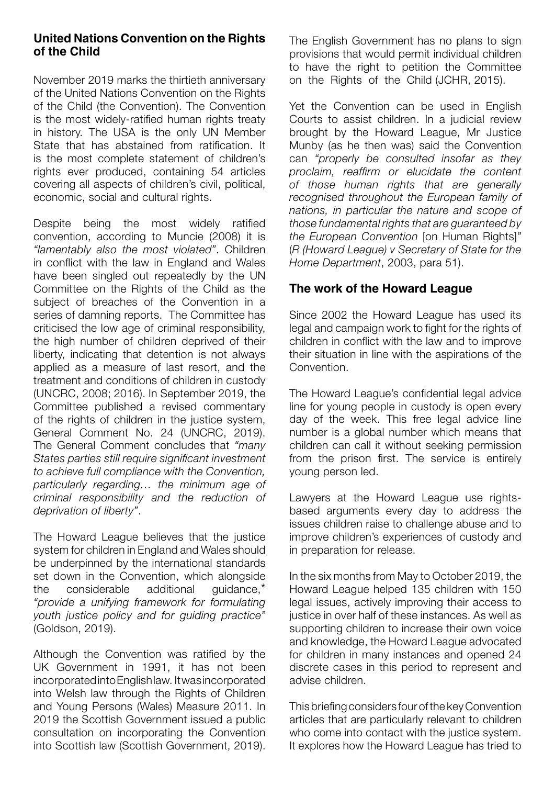#### **United Nations Convention on the Rights of the Child**

November 2019 marks the thirtieth anniversary of the United Nations Convention on the Rights of the Child (the Convention). The Convention is the most widely-ratified human rights treaty in history. The USA is the only UN Member State that has abstained from ratification. It is the most complete statement of children's rights ever produced, containing 54 articles covering all aspects of children's civil, political, economic, social and cultural rights.

Despite being the most widely ratified convention, according to Muncie (2008) it is *"lamentably also the most violated"*. Children in conflict with the law in England and Wales have been singled out repeatedly by the UN Committee on the Rights of the Child as the subject of breaches of the Convention in a series of damning reports. The Committee has criticised the low age of criminal responsibility, the high number of children deprived of their liberty, indicating that detention is not always applied as a measure of last resort, and the treatment and conditions of children in custody (UNCRC, 2008; 2016). In September 2019, the Committee published a revised commentary of the rights of children in the justice system, General Comment No. 24 (UNCRC, 2019). The General Comment concludes that *"many States parties still require significant investment to achieve full compliance with the Convention, particularly regarding… the minimum age of criminal responsibility and the reduction of deprivation of liberty"*.

The Howard League believes that the justice system for children in England and Wales should be underpinned by the international standards set down in the Convention, which alongside the considerable additional guidance,\* *"provide a unifying framework for formulating youth justice policy and for guiding practice"* (Goldson, 2019).

Although the Convention was ratified by the UK Government in 1991, it has not been incorporatedintoEnglishlaw. Itwasincorporated into Welsh law through the Rights of Children and Young Persons (Wales) Measure 2011. In 2019 the Scottish Government issued a public consultation on incorporating the Convention into Scottish law (Scottish Government, 2019).

The English Government has no plans to sign provisions that would permit individual children to have the right to petition the Committee on the Rights of the Child (JCHR, 2015).

Yet the Convention can be used in English Courts to assist children. In a judicial review brought by the Howard League, Mr Justice Munby (as he then was) said the Convention can *"properly be consulted insofar as they proclaim, reaffirm or elucidate the content of those human rights that are generally recognised throughout the European family of nations, in particular the nature and scope of those fundamental rights that are guaranteed by the European Convention* [on Human Rights]*"* (*R (Howard League) v Secretary of State for the Home Department*, 2003, para 51).

#### **The work of the Howard League**

Since 2002 the Howard League has used its legal and campaign work to fight for the rights of children in conflict with the law and to improve their situation in line with the aspirations of the Convention.

The Howard League's confidential legal advice line for young people in custody is open every day of the week. This free legal advice line number is a global number which means that children can call it without seeking permission from the prison first. The service is entirely young person led.

Lawyers at the Howard League use rightsbased arguments every day to address the issues children raise to challenge abuse and to improve children's experiences of custody and in preparation for release.

In the six months from May to October 2019, the Howard League helped 135 children with 150 legal issues, actively improving their access to justice in over half of these instances. As well as supporting children to increase their own voice and knowledge, the Howard League advocated for children in many instances and opened 24 discrete cases in this period to represent and advise children.

This briefing considers four of the key Convention articles that are particularly relevant to children who come into contact with the justice system. It explores how the Howard League has tried to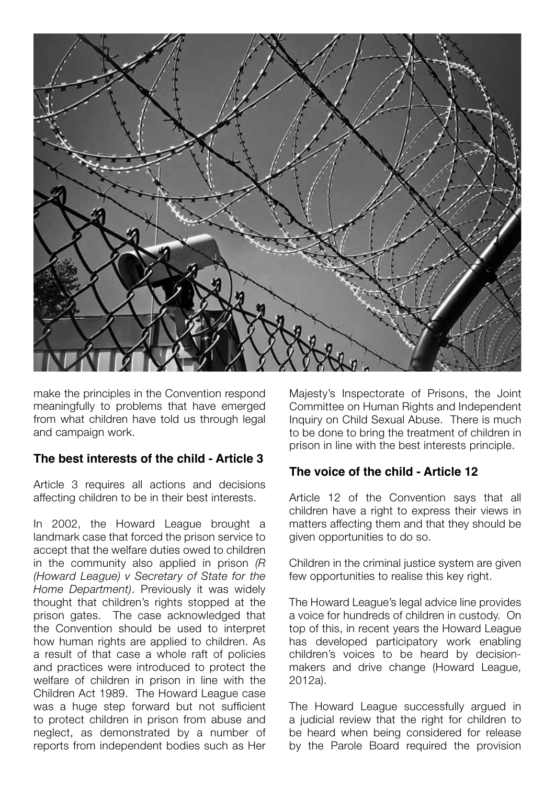

make the principles in the Convention respond meaningfully to problems that have emerged from what children have told us through legal and campaign work.

#### **The best interests of the child - Article 3**

Article 3 requires all actions and decisions affecting children to be in their best interests.

In 2002, the Howard League brought a landmark case that forced the prison service to accept that the welfare duties owed to children in the community also applied in prison *(R (Howard League) v Secretary of State for the Home Department)*. Previously it was widely thought that children's rights stopped at the prison gates. The case acknowledged that the Convention should be used to interpret how human rights are applied to children. As a result of that case a whole raft of policies and practices were introduced to protect the welfare of children in prison in line with the Children Act 1989. The Howard League case was a huge step forward but not sufficient to protect children in prison from abuse and neglect, as demonstrated by a number of reports from independent bodies such as Her

Majesty's Inspectorate of Prisons, the Joint Committee on Human Rights and Independent Inquiry on Child Sexual Abuse. There is much to be done to bring the treatment of children in prison in line with the best interests principle.

#### **The voice of the child - Article 12**

Article 12 of the Convention says that all children have a right to express their views in matters affecting them and that they should be given opportunities to do so.

Children in the criminal justice system are given few opportunities to realise this key right.

The Howard League's legal advice line provides a voice for hundreds of children in custody. On top of this, in recent years the Howard League has developed participatory work enabling children's voices to be heard by decisionmakers and drive change (Howard League, 2012a).

The Howard League successfully argued in a judicial review that the right for children to be heard when being considered for release by the Parole Board required the provision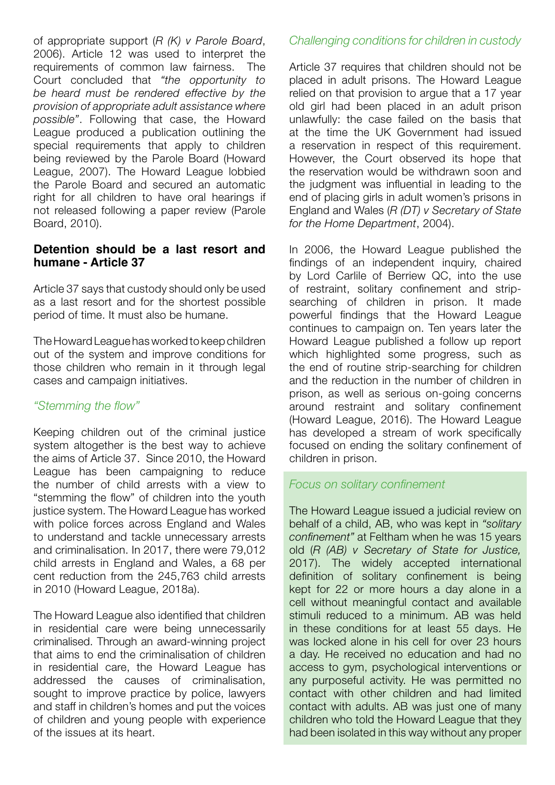of appropriate support (*R (K) v Parole Board*, 2006). Article 12 was used to interpret the requirements of common law fairness. The Court concluded that *"the opportunity to be heard must be rendered effective by the provision of appropriate adult assistance where possible"*. Following that case, the Howard League produced a publication outlining the special requirements that apply to children being reviewed by the Parole Board (Howard League, 2007). The Howard League lobbied the Parole Board and secured an automatic right for all children to have oral hearings if not released following a paper review (Parole Board, 2010).

#### **Detention should be a last resort and humane - Article 37**

Article 37 says that custody should only be used as a last resort and for the shortest possible period of time. It must also be humane.

The Howard League has worked to keep children out of the system and improve conditions for those children who remain in it through legal cases and campaign initiatives.

#### *"Stemming the flow"*

Keeping children out of the criminal justice system altogether is the best way to achieve the aims of Article 37. Since 2010, the Howard League has been campaigning to reduce the number of child arrests with a view to "stemming the flow" of children into the youth justice system. The Howard League has worked with police forces across England and Wales to understand and tackle unnecessary arrests and criminalisation. In 2017, there were 79,012 child arrests in England and Wales, a 68 per cent reduction from the 245,763 child arrests in 2010 (Howard League, 2018a).

The Howard League also identified that children in residential care were being unnecessarily criminalised. Through an award-winning project that aims to end the criminalisation of children in residential care, the Howard League has addressed the causes of criminalisation, sought to improve practice by police, lawyers and staff in children's homes and put the voices of children and young people with experience of the issues at its heart.

#### *Challenging conditions for children in custody*

Article 37 requires that children should not be placed in adult prisons. The Howard League relied on that provision to argue that a 17 year old girl had been placed in an adult prison unlawfully: the case failed on the basis that at the time the UK Government had issued a reservation in respect of this requirement. However, the Court observed its hope that the reservation would be withdrawn soon and the judgment was influential in leading to the end of placing girls in adult women's prisons in England and Wales (*R (DT) v Secretary of State for the Home Department*, 2004).

In 2006, the Howard League published the findings of an independent inquiry, chaired by Lord Carlile of Berriew QC, into the use of restraint, solitary confinement and stripsearching of children in prison. It made powerful findings that the Howard League continues to campaign on. Ten years later the Howard League published a follow up report which highlighted some progress, such as the end of routine strip-searching for children and the reduction in the number of children in prison, as well as serious on-going concerns around restraint and solitary confinement (Howard League, 2016). The Howard League has developed a stream of work specifically focused on ending the solitary confinement of children in prison.

#### *Focus on solitary confinement*

The Howard League issued a judicial review on behalf of a child, AB, who was kept in *"solitary confinement"* at Feltham when he was 15 years old (*R (AB) v Secretary of State for Justice,* 2017). The widely accepted international definition of solitary confinement is being kept for 22 or more hours a day alone in a cell without meaningful contact and available stimuli reduced to a minimum. AB was held in these conditions for at least 55 days. He was locked alone in his cell for over 23 hours a day. He received no education and had no access to gym, psychological interventions or any purposeful activity. He was permitted no contact with other children and had limited contact with adults. AB was just one of many children who told the Howard League that they had been isolated in this way without any proper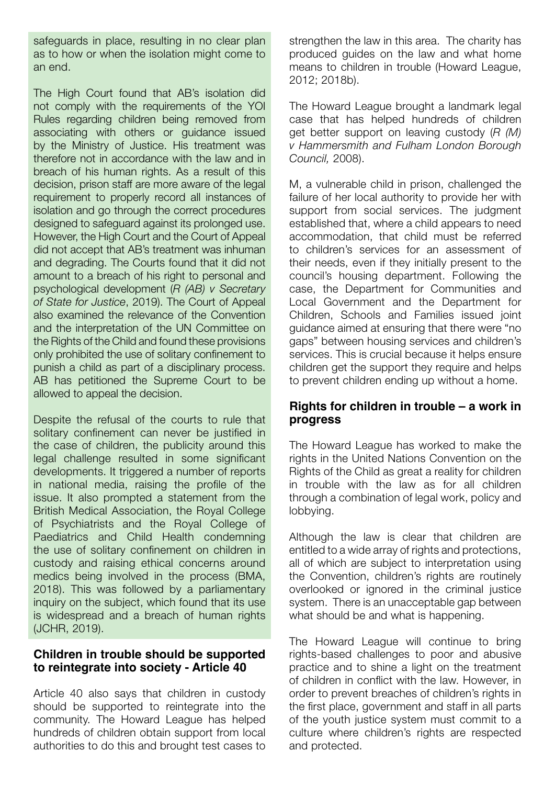safeguards in place, resulting in no clear plan as to how or when the isolation might come to an end.

The High Court found that AB's isolation did not comply with the requirements of the YOI Rules regarding children being removed from associating with others or guidance issued by the Ministry of Justice. His treatment was therefore not in accordance with the law and in breach of his human rights. As a result of this decision, prison staff are more aware of the legal requirement to properly record all instances of isolation and go through the correct procedures designed to safeguard against its prolonged use. However, the High Court and the Court of Appeal did not accept that AB's treatment was inhuman and degrading. The Courts found that it did not amount to a breach of his right to personal and psychological development (*R (AB) v Secretary of State for Justice*, 2019). The Court of Appeal also examined the relevance of the Convention and the interpretation of the UN Committee on the Rights of the Child and found these provisions only prohibited the use of solitary confinement to punish a child as part of a disciplinary process. AB has petitioned the Supreme Court to be allowed to appeal the decision.

Despite the refusal of the courts to rule that solitary confinement can never be justified in the case of children, the publicity around this legal challenge resulted in some significant developments. It triggered a number of reports in national media, raising the profile of the issue. It also prompted a statement from the British Medical Association, the Royal College of Psychiatrists and the Royal College of Paediatrics and Child Health condemning the use of solitary confinement on children in custody and raising ethical concerns around medics being involved in the process (BMA, 2018). This was followed by a parliamentary inquiry on the subject, which found that its use is widespread and a breach of human rights (JCHR, 2019).

#### **Children in trouble should be supported to reintegrate into society - Article 40**

Article 40 also says that children in custody should be supported to reintegrate into the community. The Howard League has helped hundreds of children obtain support from local authorities to do this and brought test cases to

strengthen the law in this area. The charity has produced guides on the law and what home means to children in trouble (Howard League, 2012; 2018b).

The Howard League brought a landmark legal case that has helped hundreds of children get better support on leaving custody (*R (M) v Hammersmith and Fulham London Borough Council,* 2008).

M, a vulnerable child in prison, challenged the failure of her local authority to provide her with support from social services. The judgment established that, where a child appears to need accommodation, that child must be referred to children's services for an assessment of their needs, even if they initially present to the council's housing department. Following the case, the Department for Communities and Local Government and the Department for Children, Schools and Families issued joint guidance aimed at ensuring that there were "no gaps" between housing services and children's services. This is crucial because it helps ensure children get the support they require and helps to prevent children ending up without a home.

#### **Rights for children in trouble – a work in progress**

The Howard League has worked to make the rights in the United Nations Convention on the Rights of the Child as great a reality for children in trouble with the law as for all children through a combination of legal work, policy and lobbying.

Although the law is clear that children are entitled to a wide array of rights and protections, all of which are subject to interpretation using the Convention, children's rights are routinely overlooked or ignored in the criminal justice system. There is an unacceptable gap between what should be and what is happening.

The Howard League will continue to bring rights-based challenges to poor and abusive practice and to shine a light on the treatment of children in conflict with the law. However, in order to prevent breaches of children's rights in the first place, government and staff in all parts of the youth justice system must commit to a culture where children's rights are respected and protected.